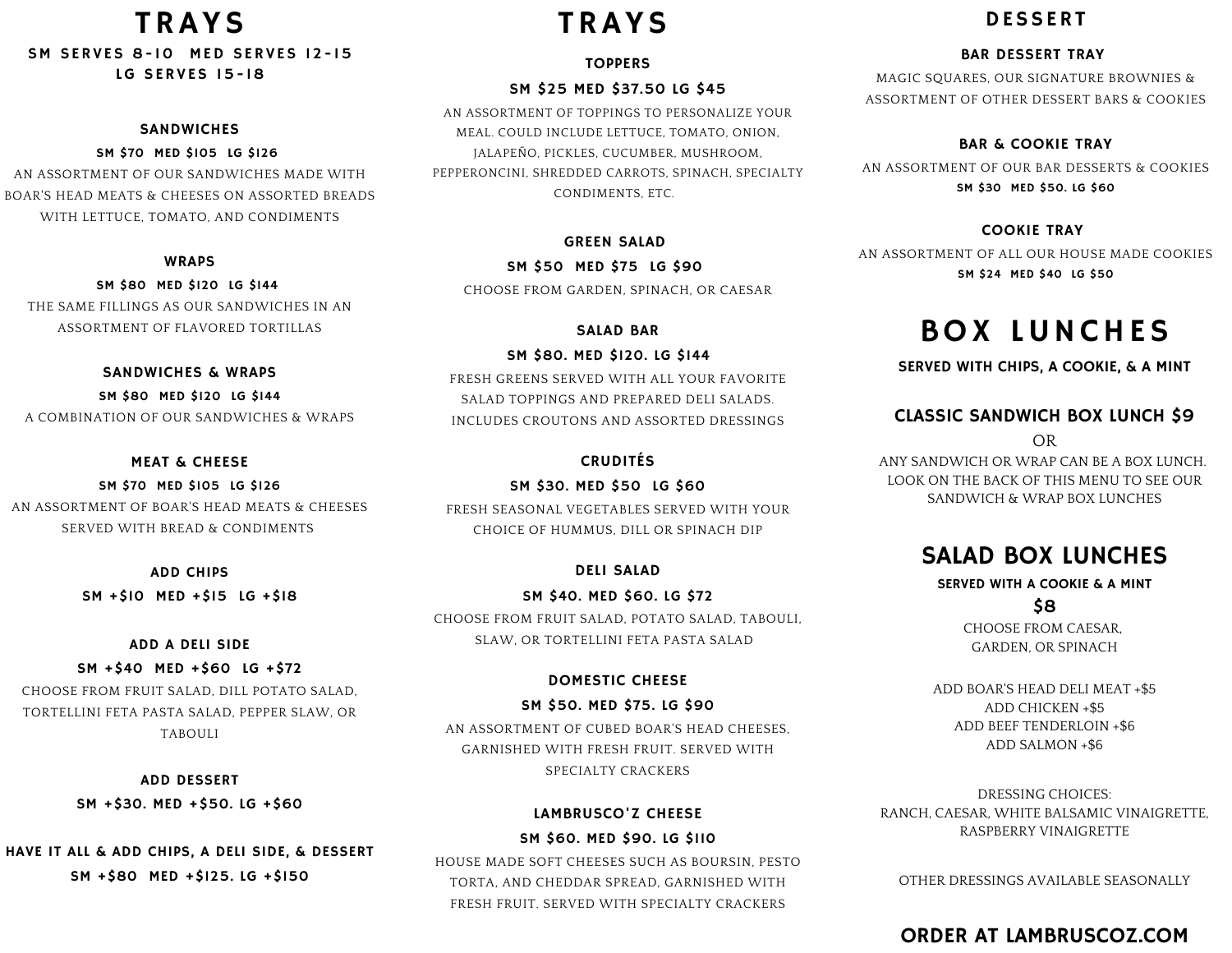## TRAYS

SM SERVES 8-10 MED SERVES 12-15 LG SERVES 15- 18

#### **SANDWICHES**

SM \$70 MED \$105 LG \$126 AN ASSORTMENT OF OUR SANDWICHES MADE WITH BOAR'S HEAD MEATS & CHEESES ON ASSORTED BREADS WITH LETTUCE, TOMATO, AND CONDIMENTS

#### WRAPS

SM \$80 MED \$120 LG \$144 THE SAME FILLINGS AS OUR SANDWICHES IN AN ASSORTMENT OF FLAVORED TORTILLAS

SANDWICHES & WRAPS SM \$80 MED \$120 LG \$144 A COMBINATION OF OUR SANDWICHES & WRAPS

#### MEAT & CHEESE

SM \$70 MED \$105 LG \$126 AN ASSORTMENT OF BOAR'S HEAD MEATS & CHEESES SERVED WITH BREAD & CONDIMENTS

ADD CHIPS

SM +\$10 MED +\$15 LG +\$18

#### ADD A DELI SIDE

SM +\$40 MED +\$60 LG +\$72 CHOOSE FROM FRUIT SALAD, DILL POTATO SALAD,

TORTELLINI FETA PASTA SALAD, PEPPER SLAW, OR TABOULI

> ADD DESSERT SM +\$30. MED +\$50. LG +\$60

HAVE IT ALL & ADD CHIPS, A DELI SIDE, & DESSERT SM +\$80 MED +\$125. LG +\$150

# TRAYS

#### **TOPPERS**

#### SM \$25 MED \$37.50 LG \$45

AN ASSORTMENT OF TOPPINGS TO PERSONALIZE YOUR MEAL. COULD INCLUDE LETTUCE, TOMATO, ONION, JALAPEÑO, PICKLES, CUCUMBER, MUSHROOM, PEPPERONCINI, SHREDDED CARROTS, SPINACH, SPECIALTY CONDIMENTS, ETC.

#### GREEN SALAD

#### SM \$50 MED \$75 LG \$90

CHOOSE FROM GARDEN, SPINACH, OR CAESAR

#### SALAD BAR

SM \$80. MED \$120. LG \$144 FRESH GREENS SERVED WITH ALL YOUR FAVORITE SALAD TOPPINGS AND PREPARED DELI SALADS. INCLUDES CROUTONS AND ASSORTED DRESSINGS

#### **CRUDITÉS**

SM \$30. MED \$50 LG \$60 FRESH SEASONAL VEGETABLES SERVED WITH YOUR CHOICE OF HUMMUS, DILL OR SPINACH DIP

#### DELI SALAD

SM \$40. MED \$60. LG \$72 CHOOSE FROM FRUIT SALAD, POTATO SALAD, TABOULI, SLAW, OR TORTELLINI FETA PASTA SALAD

#### DOMESTIC CHEESE

#### SM \$50. MED \$75. LG \$90

AN ASSORTMENT OF CUBED BOAR'S HEAD CHEESES, GARNISHED WITH FRESH FRUIT. SERVED WITH SPECIALTY CRACKERS

#### LAMBRUSCO'Z CHEESE

SM \$60. MED \$90. LG \$110 HOUSE MADE SOFT CHEESES SUCH AS BOURSIN, PESTO TORTA, AND CHEDDAR SPREAD, GARNISHED WITH FRESH FRUIT. SERVED WITH SPECIALTY CRACKERS

### DESSERT

#### BAR DESSERT TRAY

MAGIC SQUARES, OUR SIGNATURE BROWNIES & ASSORTMENT OF OTHER DESSERT BARS & COOKIES

#### BAR & COOKIE TRAY

AN ASSORTMENT OF OUR BAR DESSERTS & COOKIES SM \$30 MED \$50. LG \$60

#### COOKIE TRAY

AN ASSORTMENT OF ALL OUR HOUSE MADE COOKIES SM \$24 MED \$40 LG \$50

# BOX LUNCHES

SERVED WITH CHIPS, A COOKIE, & A MINT

#### CLASSIC SANDWICH BOX LUNCH \$9

OR

ANY SANDWICH OR WRAP CAN BE A BOX LUNCH. LOOK ON THE BACK OF THIS MENU TO SEE OUR SANDWICH & WRAP BOX LUNCHES

## SALAD BOX LUNCHES

SERVED WITH A COOKIE & A MINT \$8

> CHOOSE FROM CAESAR, GARDEN, OR SPINACH

ADD BOAR'S HEAD DELI MEAT +\$5 ADD CHICKEN +\$5 ADD BEEF TENDERLOIN +\$6 ADD SALMON +\$6

DRESSING CHOICES: RANCH, CAESAR, WHITE BALSAMIC VINAIGRETTE, RASPBERRY VINAIGRETTE

OTHER DRESSINGS AVAILABLE SEASONALLY

## ORDER AT LAMBRUSCOZ.COM